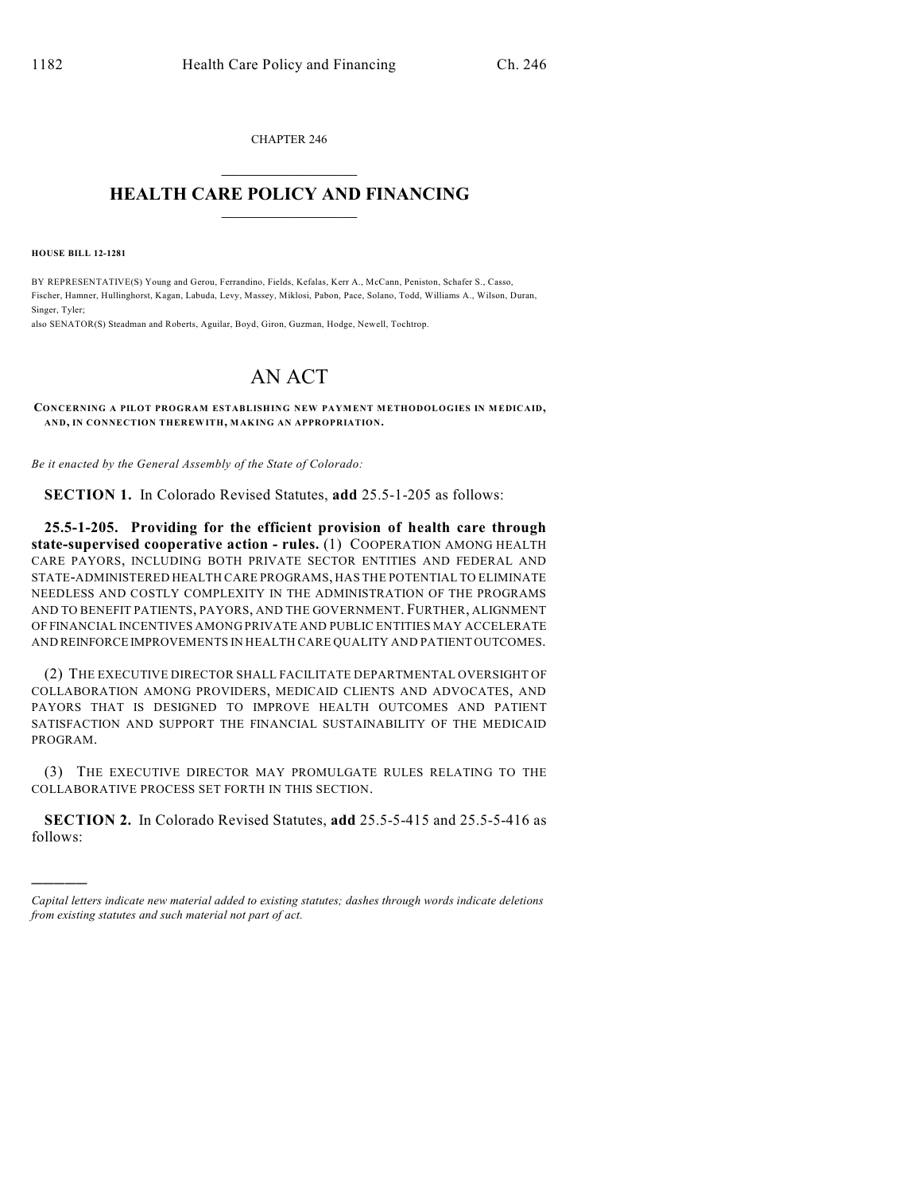CHAPTER 246  $\overline{\phantom{a}}$  . The set of the set of the set of the set of the set of the set of the set of the set of the set of the set of the set of the set of the set of the set of the set of the set of the set of the set of the set o

## **HEALTH CARE POLICY AND FINANCING**  $\_$   $\_$   $\_$   $\_$   $\_$   $\_$   $\_$   $\_$

**HOUSE BILL 12-1281**

)))))

BY REPRESENTATIVE(S) Young and Gerou, Ferrandino, Fields, Kefalas, Kerr A., McCann, Peniston, Schafer S., Casso, Fischer, Hamner, Hullinghorst, Kagan, Labuda, Levy, Massey, Miklosi, Pabon, Pace, Solano, Todd, Williams A., Wilson, Duran, Singer, Tyler;

also SENATOR(S) Steadman and Roberts, Aguilar, Boyd, Giron, Guzman, Hodge, Newell, Tochtrop.

## AN ACT

**CONCERNING A PILOT PROGRAM ESTABLISHING NEW PAYMENT METHODOLOGIES IN MEDICAID, AND, IN CONNECTION THEREWITH, MAKING AN APPROPRIATION.**

*Be it enacted by the General Assembly of the State of Colorado:*

**SECTION 1.** In Colorado Revised Statutes, **add** 25.5-1-205 as follows:

**25.5-1-205. Providing for the efficient provision of health care through state-supervised cooperative action - rules.** (1) COOPERATION AMONG HEALTH CARE PAYORS, INCLUDING BOTH PRIVATE SECTOR ENTITIES AND FEDERAL AND STATE-ADMINISTERED HEALTH CARE PROGRAMS, HAS THE POTENTIAL TO ELIMINATE NEEDLESS AND COSTLY COMPLEXITY IN THE ADMINISTRATION OF THE PROGRAMS AND TO BENEFIT PATIENTS, PAYORS, AND THE GOVERNMENT. FURTHER, ALIGNMENT OF FINANCIAL INCENTIVES AMONG PRIVATE AND PUBLIC ENTITIES MAY ACCELERATE AND REINFORCE IMPROVEMENTS IN HEALTH CARE QUALITY AND PATIENT OUTCOMES.

(2) THE EXECUTIVE DIRECTOR SHALL FACILITATE DEPARTMENTAL OVERSIGHT OF COLLABORATION AMONG PROVIDERS, MEDICAID CLIENTS AND ADVOCATES, AND PAYORS THAT IS DESIGNED TO IMPROVE HEALTH OUTCOMES AND PATIENT SATISFACTION AND SUPPORT THE FINANCIAL SUSTAINABILITY OF THE MEDICAID PROGRAM.

(3) THE EXECUTIVE DIRECTOR MAY PROMULGATE RULES RELATING TO THE COLLABORATIVE PROCESS SET FORTH IN THIS SECTION.

**SECTION 2.** In Colorado Revised Statutes, **add** 25.5-5-415 and 25.5-5-416 as follows:

*Capital letters indicate new material added to existing statutes; dashes through words indicate deletions from existing statutes and such material not part of act.*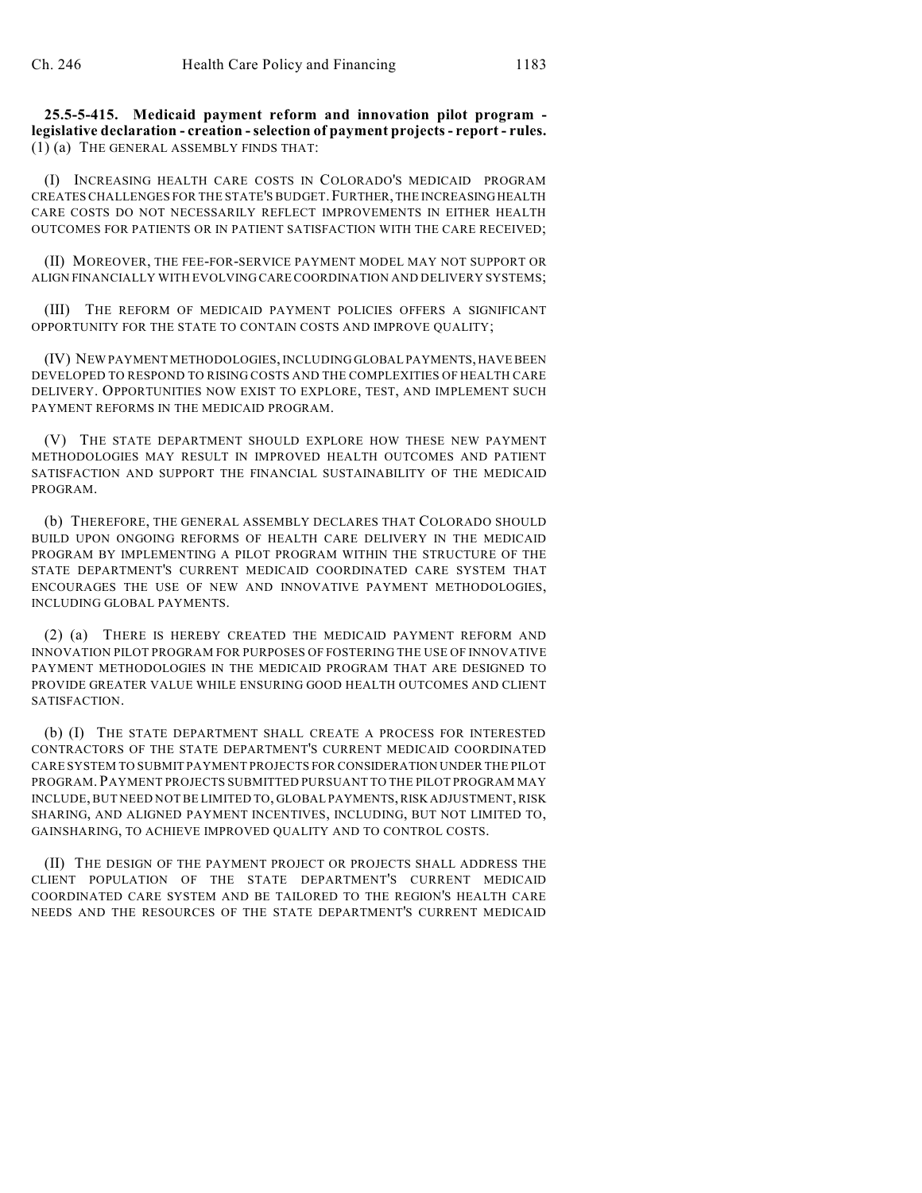**25.5-5-415. Medicaid payment reform and innovation pilot program legislative declaration - creation -selection of payment projects- report - rules.** (1) (a) THE GENERAL ASSEMBLY FINDS THAT:

(I) INCREASING HEALTH CARE COSTS IN COLORADO'S MEDICAID PROGRAM CREATESCHALLENGES FOR THE STATE'S BUDGET.FURTHER, THE INCREASINGHEALTH CARE COSTS DO NOT NECESSARILY REFLECT IMPROVEMENTS IN EITHER HEALTH OUTCOMES FOR PATIENTS OR IN PATIENT SATISFACTION WITH THE CARE RECEIVED;

(II) MOREOVER, THE FEE-FOR-SERVICE PAYMENT MODEL MAY NOT SUPPORT OR ALIGN FINANCIALLY WITH EVOLVING CARECOORDINATION AND DELIVERY SYSTEMS;

(III) THE REFORM OF MEDICAID PAYMENT POLICIES OFFERS A SIGNIFICANT OPPORTUNITY FOR THE STATE TO CONTAIN COSTS AND IMPROVE QUALITY;

(IV) NEW PAYMENT METHODOLOGIES, INCLUDING GLOBAL PAYMENTS, HAVE BEEN DEVELOPED TO RESPOND TO RISING COSTS AND THE COMPLEXITIES OF HEALTH CARE DELIVERY. OPPORTUNITIES NOW EXIST TO EXPLORE, TEST, AND IMPLEMENT SUCH PAYMENT REFORMS IN THE MEDICAID PROGRAM.

(V) THE STATE DEPARTMENT SHOULD EXPLORE HOW THESE NEW PAYMENT METHODOLOGIES MAY RESULT IN IMPROVED HEALTH OUTCOMES AND PATIENT SATISFACTION AND SUPPORT THE FINANCIAL SUSTAINABILITY OF THE MEDICAID PROGRAM.

(b) THEREFORE, THE GENERAL ASSEMBLY DECLARES THAT COLORADO SHOULD BUILD UPON ONGOING REFORMS OF HEALTH CARE DELIVERY IN THE MEDICAID PROGRAM BY IMPLEMENTING A PILOT PROGRAM WITHIN THE STRUCTURE OF THE STATE DEPARTMENT'S CURRENT MEDICAID COORDINATED CARE SYSTEM THAT ENCOURAGES THE USE OF NEW AND INNOVATIVE PAYMENT METHODOLOGIES, INCLUDING GLOBAL PAYMENTS.

(2) (a) THERE IS HEREBY CREATED THE MEDICAID PAYMENT REFORM AND INNOVATION PILOT PROGRAM FOR PURPOSES OF FOSTERING THE USE OF INNOVATIVE PAYMENT METHODOLOGIES IN THE MEDICAID PROGRAM THAT ARE DESIGNED TO PROVIDE GREATER VALUE WHILE ENSURING GOOD HEALTH OUTCOMES AND CLIENT SATISFACTION.

(b) (I) THE STATE DEPARTMENT SHALL CREATE A PROCESS FOR INTERESTED CONTRACTORS OF THE STATE DEPARTMENT'S CURRENT MEDICAID COORDINATED CARE SYSTEM TO SUBMIT PAYMENT PROJECTS FOR CONSIDERATION UNDER THE PILOT PROGRAM. PAYMENT PROJECTS SUBMITTED PURSUANT TO THE PILOT PROGRAM MAY INCLUDE, BUT NEED NOT BE LIMITED TO, GLOBAL PAYMENTS,RISK ADJUSTMENT, RISK SHARING, AND ALIGNED PAYMENT INCENTIVES, INCLUDING, BUT NOT LIMITED TO, GAINSHARING, TO ACHIEVE IMPROVED QUALITY AND TO CONTROL COSTS.

(II) THE DESIGN OF THE PAYMENT PROJECT OR PROJECTS SHALL ADDRESS THE CLIENT POPULATION OF THE STATE DEPARTMENT'S CURRENT MEDICAID COORDINATED CARE SYSTEM AND BE TAILORED TO THE REGION'S HEALTH CARE NEEDS AND THE RESOURCES OF THE STATE DEPARTMENT'S CURRENT MEDICAID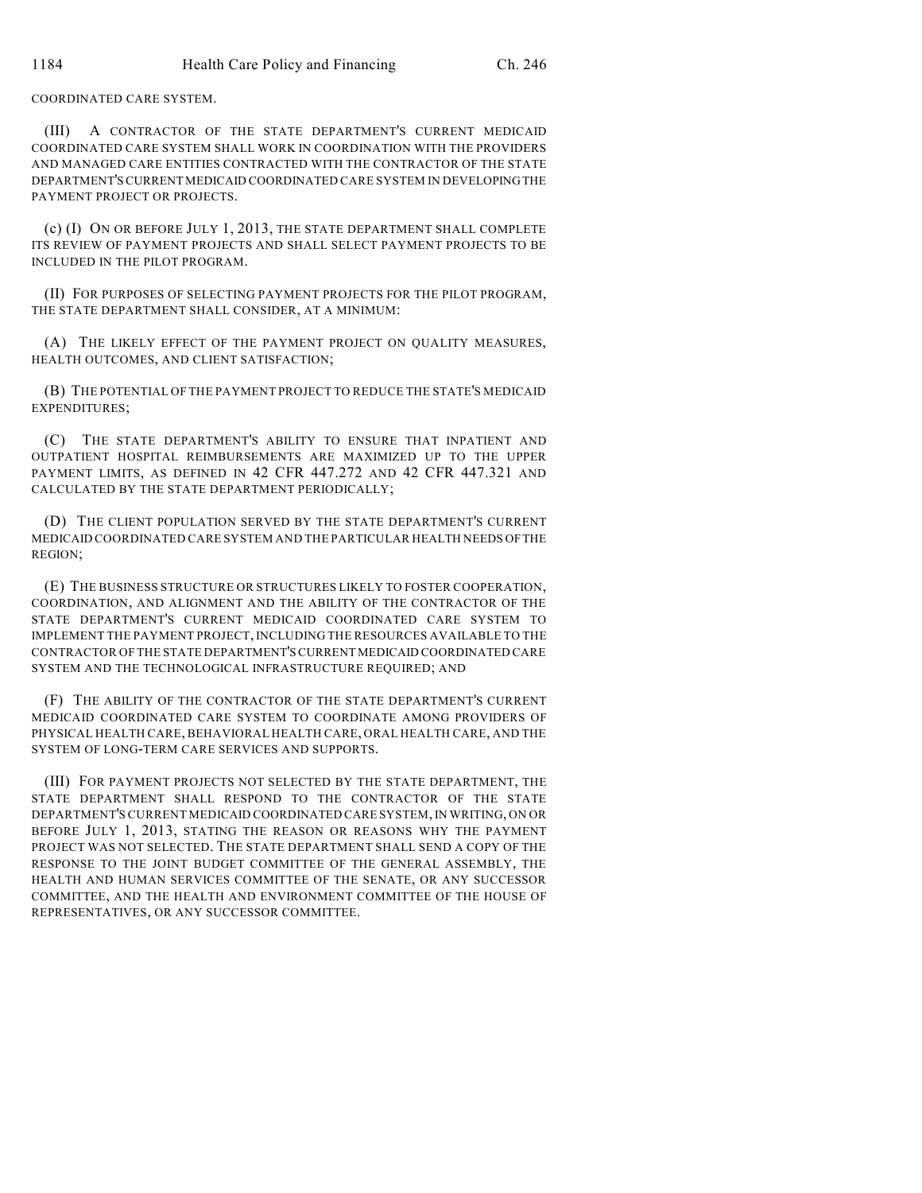COORDINATED CARE SYSTEM.

(III) A CONTRACTOR OF THE STATE DEPARTMENT'S CURRENT MEDICAID COORDINATED CARE SYSTEM SHALL WORK IN COORDINATION WITH THE PROVIDERS AND MANAGED CARE ENTITIES CONTRACTED WITH THE CONTRACTOR OF THE STATE DEPARTMENT'SCURRENT MEDICAID COORDINATED CARE SYSTEM IN DEVELOPINGTHE PAYMENT PROJECT OR PROJECTS.

(c) (I) ON OR BEFORE JULY 1, 2013, THE STATE DEPARTMENT SHALL COMPLETE ITS REVIEW OF PAYMENT PROJECTS AND SHALL SELECT PAYMENT PROJECTS TO BE INCLUDED IN THE PILOT PROGRAM.

(II) FOR PURPOSES OF SELECTING PAYMENT PROJECTS FOR THE PILOT PROGRAM, THE STATE DEPARTMENT SHALL CONSIDER, AT A MINIMUM:

(A) THE LIKELY EFFECT OF THE PAYMENT PROJECT ON QUALITY MEASURES, HEALTH OUTCOMES, AND CLIENT SATISFACTION;

(B) THE POTENTIAL OF THE PAYMENT PROJECT TO REDUCE THE STATE'S MEDICAID EXPENDITURES;

(C) THE STATE DEPARTMENT'S ABILITY TO ENSURE THAT INPATIENT AND OUTPATIENT HOSPITAL REIMBURSEMENTS ARE MAXIMIZED UP TO THE UPPER PAYMENT LIMITS, AS DEFINED IN 42 CFR 447.272 AND 42 CFR 447.321 AND CALCULATED BY THE STATE DEPARTMENT PERIODICALLY;

(D) THE CLIENT POPULATION SERVED BY THE STATE DEPARTMENT'S CURRENT MEDICAID COORDINATED CARE SYSTEM AND THE PARTICULAR HEALTH NEEDS OFTHE REGION;

(E) THE BUSINESS STRUCTURE OR STRUCTURES LIKELY TO FOSTER COOPERATION, COORDINATION, AND ALIGNMENT AND THE ABILITY OF THE CONTRACTOR OF THE STATE DEPARTMENT'S CURRENT MEDICAID COORDINATED CARE SYSTEM TO IMPLEMENT THE PAYMENT PROJECT, INCLUDING THE RESOURCES AVAILABLE TO THE CONTRACTOR OF THE STATE DEPARTMENT'SCURRENT MEDICAID COORDINATED CARE SYSTEM AND THE TECHNOLOGICAL INFRASTRUCTURE REQUIRED; AND

(F) THE ABILITY OF THE CONTRACTOR OF THE STATE DEPARTMENT'S CURRENT MEDICAID COORDINATED CARE SYSTEM TO COORDINATE AMONG PROVIDERS OF PHYSICAL HEALTH CARE, BEHAVIORAL HEALTH CARE, ORAL HEALTH CARE, AND THE SYSTEM OF LONG-TERM CARE SERVICES AND SUPPORTS.

(III) FOR PAYMENT PROJECTS NOT SELECTED BY THE STATE DEPARTMENT, THE STATE DEPARTMENT SHALL RESPOND TO THE CONTRACTOR OF THE STATE DEPARTMENT'S CURRENT MEDICAID COORDINATED CARE SYSTEM, IN WRITING, ON OR BEFORE JULY 1, 2013, STATING THE REASON OR REASONS WHY THE PAYMENT PROJECT WAS NOT SELECTED. THE STATE DEPARTMENT SHALL SEND A COPY OF THE RESPONSE TO THE JOINT BUDGET COMMITTEE OF THE GENERAL ASSEMBLY, THE HEALTH AND HUMAN SERVICES COMMITTEE OF THE SENATE, OR ANY SUCCESSOR COMMITTEE, AND THE HEALTH AND ENVIRONMENT COMMITTEE OF THE HOUSE OF REPRESENTATIVES, OR ANY SUCCESSOR COMMITTEE.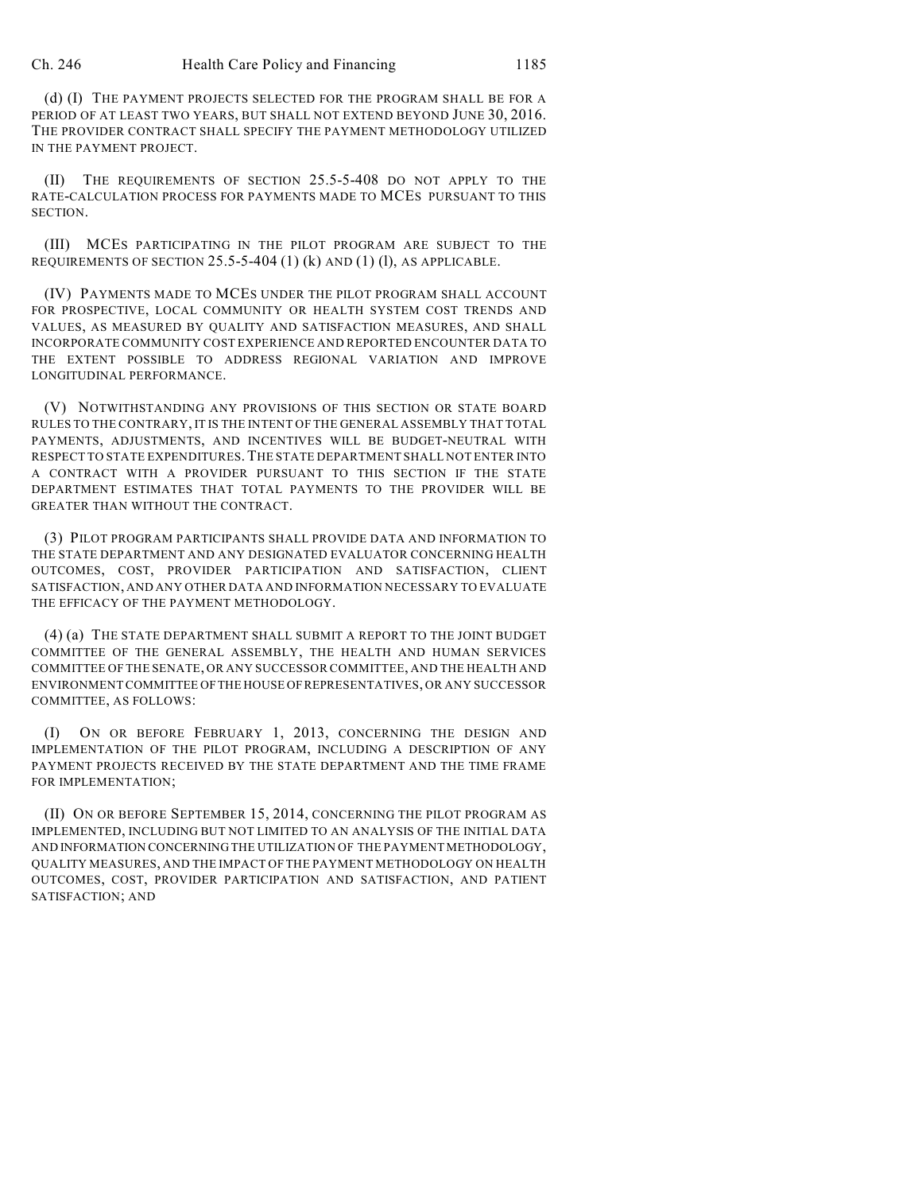(d) (I) THE PAYMENT PROJECTS SELECTED FOR THE PROGRAM SHALL BE FOR A PERIOD OF AT LEAST TWO YEARS, BUT SHALL NOT EXTEND BEYOND JUNE 30, 2016. THE PROVIDER CONTRACT SHALL SPECIFY THE PAYMENT METHODOLOGY UTILIZED IN THE PAYMENT PROJECT.

(II) THE REQUIREMENTS OF SECTION 25.5-5-408 DO NOT APPLY TO THE RATE-CALCULATION PROCESS FOR PAYMENTS MADE TO MCES PURSUANT TO THIS **SECTION** 

(III) MCES PARTICIPATING IN THE PILOT PROGRAM ARE SUBJECT TO THE REQUIREMENTS OF SECTION  $25.5$ -5-404 (1) (k) AND (1) (l), AS APPLICABLE.

(IV) PAYMENTS MADE TO MCES UNDER THE PILOT PROGRAM SHALL ACCOUNT FOR PROSPECTIVE, LOCAL COMMUNITY OR HEALTH SYSTEM COST TRENDS AND VALUES, AS MEASURED BY QUALITY AND SATISFACTION MEASURES, AND SHALL INCORPORATE COMMUNITY COST EXPERIENCE AND REPORTED ENCOUNTER DATA TO THE EXTENT POSSIBLE TO ADDRESS REGIONAL VARIATION AND IMPROVE LONGITUDINAL PERFORMANCE.

(V) NOTWITHSTANDING ANY PROVISIONS OF THIS SECTION OR STATE BOARD RULES TO THE CONTRARY, IT IS THE INTENT OF THE GENERAL ASSEMBLY THAT TOTAL PAYMENTS, ADJUSTMENTS, AND INCENTIVES WILL BE BUDGET-NEUTRAL WITH RESPECT TO STATE EXPENDITURES.THE STATE DEPARTMENT SHALL NOT ENTER INTO A CONTRACT WITH A PROVIDER PURSUANT TO THIS SECTION IF THE STATE DEPARTMENT ESTIMATES THAT TOTAL PAYMENTS TO THE PROVIDER WILL BE GREATER THAN WITHOUT THE CONTRACT.

(3) PILOT PROGRAM PARTICIPANTS SHALL PROVIDE DATA AND INFORMATION TO THE STATE DEPARTMENT AND ANY DESIGNATED EVALUATOR CONCERNING HEALTH OUTCOMES, COST, PROVIDER PARTICIPATION AND SATISFACTION, CLIENT SATISFACTION, AND ANY OTHER DATA AND INFORMATION NECESSARY TO EVALUATE THE EFFICACY OF THE PAYMENT METHODOLOGY.

(4) (a) THE STATE DEPARTMENT SHALL SUBMIT A REPORT TO THE JOINT BUDGET COMMITTEE OF THE GENERAL ASSEMBLY, THE HEALTH AND HUMAN SERVICES COMMITTEE OF THE SENATE, OR ANY SUCCESSOR COMMITTEE, AND THE HEALTH AND ENVIRONMENT COMMITTEE OFTHE HOUSE OFREPRESENTATIVES, OR ANY SUCCESSOR COMMITTEE, AS FOLLOWS:

(I) ON OR BEFORE FEBRUARY 1, 2013, CONCERNING THE DESIGN AND IMPLEMENTATION OF THE PILOT PROGRAM, INCLUDING A DESCRIPTION OF ANY PAYMENT PROJECTS RECEIVED BY THE STATE DEPARTMENT AND THE TIME FRAME FOR IMPLEMENTATION;

(II) ON OR BEFORE SEPTEMBER 15, 2014, CONCERNING THE PILOT PROGRAM AS IMPLEMENTED, INCLUDING BUT NOT LIMITED TO AN ANALYSIS OF THE INITIAL DATA AND INFORMATION CONCERNING THE UTILIZATION OF THE PAYMENT METHODOLOGY, QUALITY MEASURES, AND THE IMPACT OF THE PAYMENT METHODOLOGY ON HEALTH OUTCOMES, COST, PROVIDER PARTICIPATION AND SATISFACTION, AND PATIENT SATISFACTION; AND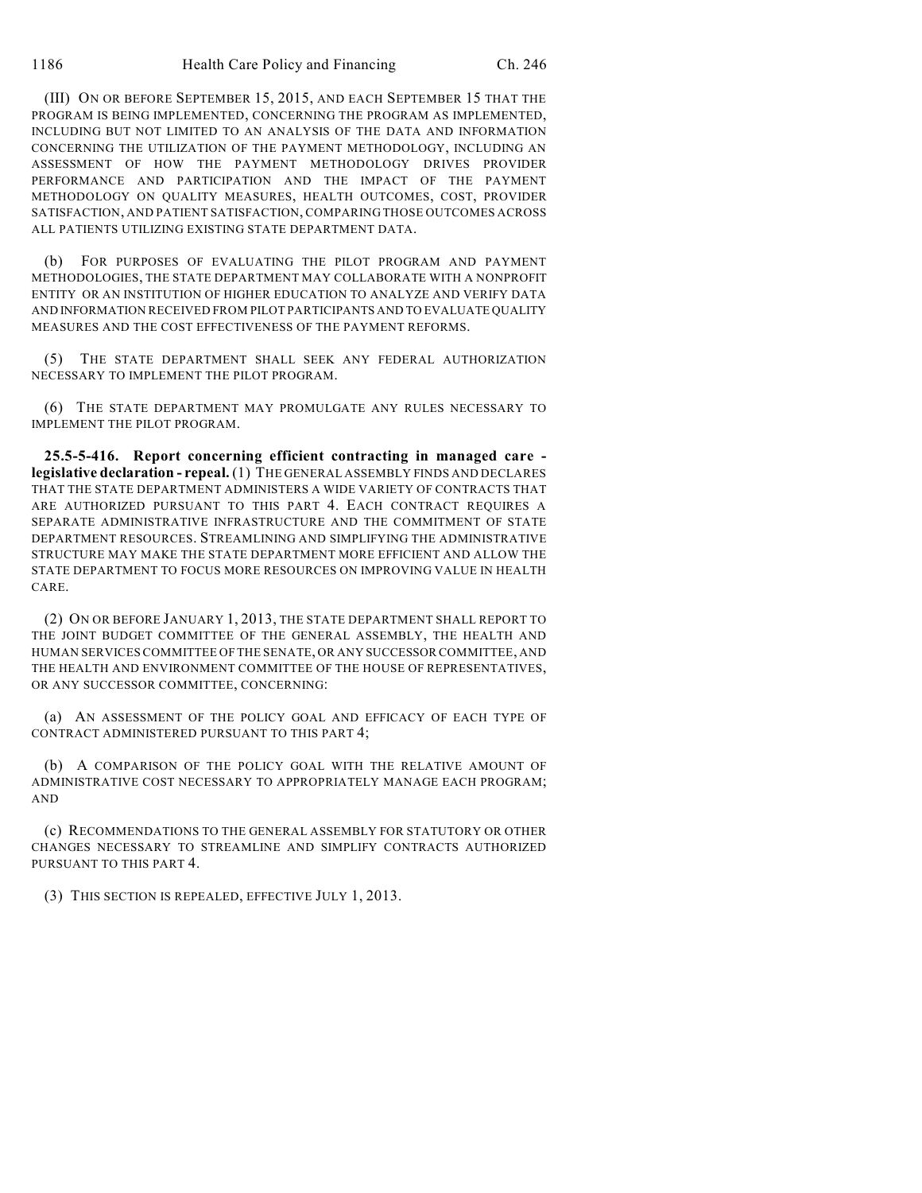(III) ON OR BEFORE SEPTEMBER 15, 2015, AND EACH SEPTEMBER 15 THAT THE PROGRAM IS BEING IMPLEMENTED, CONCERNING THE PROGRAM AS IMPLEMENTED, INCLUDING BUT NOT LIMITED TO AN ANALYSIS OF THE DATA AND INFORMATION CONCERNING THE UTILIZATION OF THE PAYMENT METHODOLOGY, INCLUDING AN ASSESSMENT OF HOW THE PAYMENT METHODOLOGY DRIVES PROVIDER PERFORMANCE AND PARTICIPATION AND THE IMPACT OF THE PAYMENT METHODOLOGY ON QUALITY MEASURES, HEALTH OUTCOMES, COST, PROVIDER SATISFACTION, AND PATIENT SATISFACTION, COMPARING THOSE OUTCOMES ACROSS ALL PATIENTS UTILIZING EXISTING STATE DEPARTMENT DATA.

(b) FOR PURPOSES OF EVALUATING THE PILOT PROGRAM AND PAYMENT METHODOLOGIES, THE STATE DEPARTMENT MAY COLLABORATE WITH A NONPROFIT ENTITY OR AN INSTITUTION OF HIGHER EDUCATION TO ANALYZE AND VERIFY DATA AND INFORMATION RECEIVED FROM PILOT PARTICIPANTS AND TO EVALUATE QUALITY MEASURES AND THE COST EFFECTIVENESS OF THE PAYMENT REFORMS.

(5) THE STATE DEPARTMENT SHALL SEEK ANY FEDERAL AUTHORIZATION NECESSARY TO IMPLEMENT THE PILOT PROGRAM.

(6) THE STATE DEPARTMENT MAY PROMULGATE ANY RULES NECESSARY TO IMPLEMENT THE PILOT PROGRAM.

**25.5-5-416. Report concerning efficient contracting in managed care legislative declaration - repeal.** (1) THE GENERAL ASSEMBLY FINDS AND DECLARES THAT THE STATE DEPARTMENT ADMINISTERS A WIDE VARIETY OF CONTRACTS THAT ARE AUTHORIZED PURSUANT TO THIS PART 4. EACH CONTRACT REQUIRES A SEPARATE ADMINISTRATIVE INFRASTRUCTURE AND THE COMMITMENT OF STATE DEPARTMENT RESOURCES. STREAMLINING AND SIMPLIFYING THE ADMINISTRATIVE STRUCTURE MAY MAKE THE STATE DEPARTMENT MORE EFFICIENT AND ALLOW THE STATE DEPARTMENT TO FOCUS MORE RESOURCES ON IMPROVING VALUE IN HEALTH CARE.

(2) ON OR BEFORE JANUARY 1, 2013, THE STATE DEPARTMENT SHALL REPORT TO THE JOINT BUDGET COMMITTEE OF THE GENERAL ASSEMBLY, THE HEALTH AND HUMAN SERVICES COMMITTEE OF THE SENATE, OR ANY SUCCESSOR COMMITTEE, AND THE HEALTH AND ENVIRONMENT COMMITTEE OF THE HOUSE OF REPRESENTATIVES, OR ANY SUCCESSOR COMMITTEE, CONCERNING:

(a) AN ASSESSMENT OF THE POLICY GOAL AND EFFICACY OF EACH TYPE OF CONTRACT ADMINISTERED PURSUANT TO THIS PART 4;

(b) A COMPARISON OF THE POLICY GOAL WITH THE RELATIVE AMOUNT OF ADMINISTRATIVE COST NECESSARY TO APPROPRIATELY MANAGE EACH PROGRAM; AND

(c) RECOMMENDATIONS TO THE GENERAL ASSEMBLY FOR STATUTORY OR OTHER CHANGES NECESSARY TO STREAMLINE AND SIMPLIFY CONTRACTS AUTHORIZED PURSUANT TO THIS PART 4.

(3) THIS SECTION IS REPEALED, EFFECTIVE JULY 1, 2013.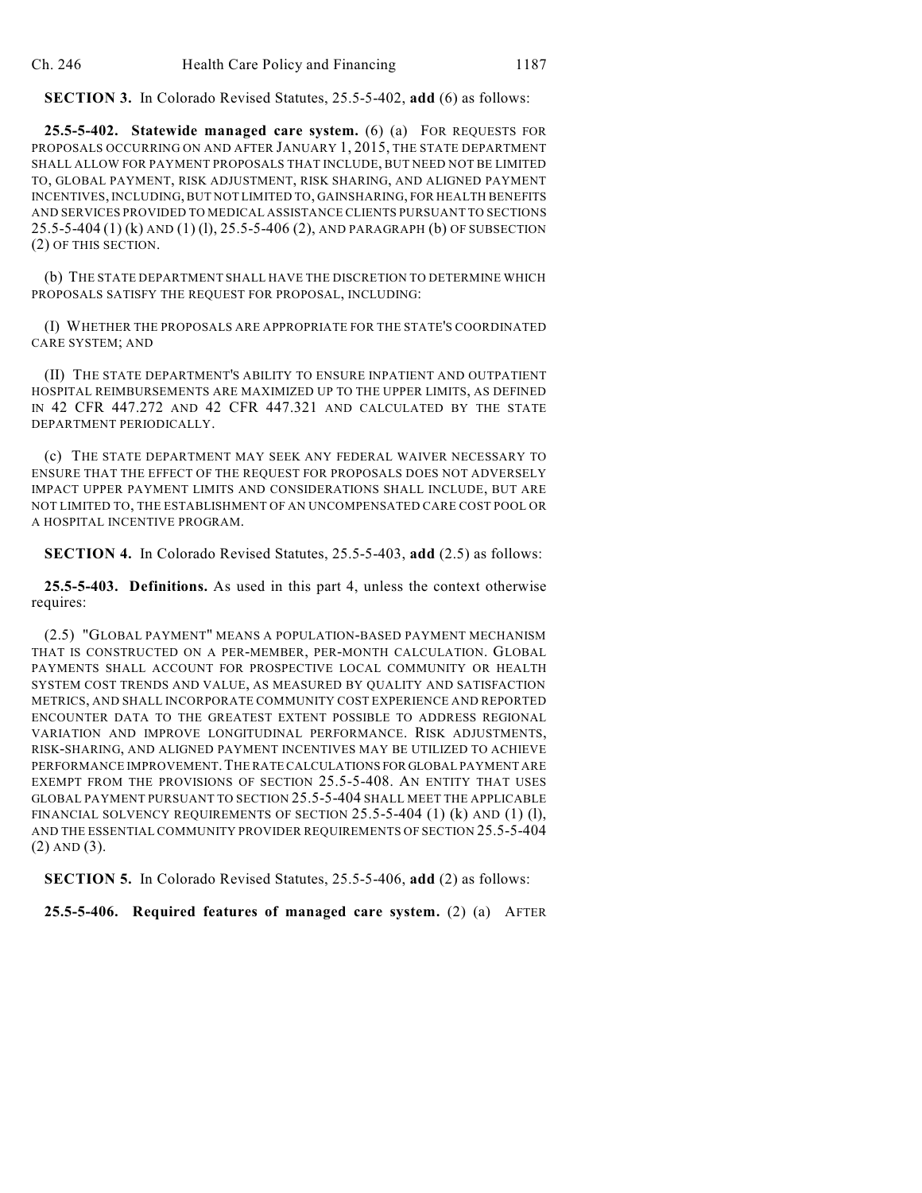**SECTION 3.** In Colorado Revised Statutes, 25.5-5-402, **add** (6) as follows:

**25.5-5-402. Statewide managed care system.** (6) (a) FOR REQUESTS FOR PROPOSALS OCCURRING ON AND AFTER JANUARY 1, 2015, THE STATE DEPARTMENT SHALL ALLOW FOR PAYMENT PROPOSALS THAT INCLUDE, BUT NEED NOT BE LIMITED TO, GLOBAL PAYMENT, RISK ADJUSTMENT, RISK SHARING, AND ALIGNED PAYMENT INCENTIVES, INCLUDING, BUT NOT LIMITED TO, GAINSHARING, FOR HEALTH BENEFITS AND SERVICES PROVIDED TO MEDICAL ASSISTANCE CLIENTS PURSUANT TO SECTIONS 25.5-5-404 (1) (k) AND (1) (l), 25.5-5-406 (2), AND PARAGRAPH (b) OF SUBSECTION (2) OF THIS SECTION.

(b) THE STATE DEPARTMENT SHALL HAVE THE DISCRETION TO DETERMINE WHICH PROPOSALS SATISFY THE REQUEST FOR PROPOSAL, INCLUDING:

(I) WHETHER THE PROPOSALS ARE APPROPRIATE FOR THE STATE'S COORDINATED CARE SYSTEM; AND

(II) THE STATE DEPARTMENT'S ABILITY TO ENSURE INPATIENT AND OUTPATIENT HOSPITAL REIMBURSEMENTS ARE MAXIMIZED UP TO THE UPPER LIMITS, AS DEFINED IN 42 CFR 447.272 AND 42 CFR 447.321 AND CALCULATED BY THE STATE DEPARTMENT PERIODICALLY.

(c) THE STATE DEPARTMENT MAY SEEK ANY FEDERAL WAIVER NECESSARY TO ENSURE THAT THE EFFECT OF THE REQUEST FOR PROPOSALS DOES NOT ADVERSELY IMPACT UPPER PAYMENT LIMITS AND CONSIDERATIONS SHALL INCLUDE, BUT ARE NOT LIMITED TO, THE ESTABLISHMENT OF AN UNCOMPENSATED CARE COST POOL OR A HOSPITAL INCENTIVE PROGRAM.

**SECTION 4.** In Colorado Revised Statutes, 25.5-5-403, **add** (2.5) as follows:

**25.5-5-403. Definitions.** As used in this part 4, unless the context otherwise requires:

(2.5) "GLOBAL PAYMENT" MEANS A POPULATION-BASED PAYMENT MECHANISM THAT IS CONSTRUCTED ON A PER-MEMBER, PER-MONTH CALCULATION. GLOBAL PAYMENTS SHALL ACCOUNT FOR PROSPECTIVE LOCAL COMMUNITY OR HEALTH SYSTEM COST TRENDS AND VALUE, AS MEASURED BY QUALITY AND SATISFACTION METRICS, AND SHALL INCORPORATE COMMUNITY COST EXPERIENCE AND REPORTED ENCOUNTER DATA TO THE GREATEST EXTENT POSSIBLE TO ADDRESS REGIONAL VARIATION AND IMPROVE LONGITUDINAL PERFORMANCE. RISK ADJUSTMENTS, RISK-SHARING, AND ALIGNED PAYMENT INCENTIVES MAY BE UTILIZED TO ACHIEVE PERFORMANCE IMPROVEMENT.THE RATE CALCULATIONS FOR GLOBAL PAYMENT ARE EXEMPT FROM THE PROVISIONS OF SECTION 25.5-5-408. AN ENTITY THAT USES GLOBAL PAYMENT PURSUANT TO SECTION 25.5-5-404 SHALL MEET THE APPLICABLE FINANCIAL SOLVENCY REQUIREMENTS OF SECTION  $25.5$ -5-404 (1) (k) AND (1) (l), AND THE ESSENTIAL COMMUNITY PROVIDER REQUIREMENTS OF SECTION 25.5-5-404 (2) AND (3).

**SECTION 5.** In Colorado Revised Statutes, 25.5-5-406, **add** (2) as follows:

**25.5-5-406. Required features of managed care system.** (2) (a) AFTER